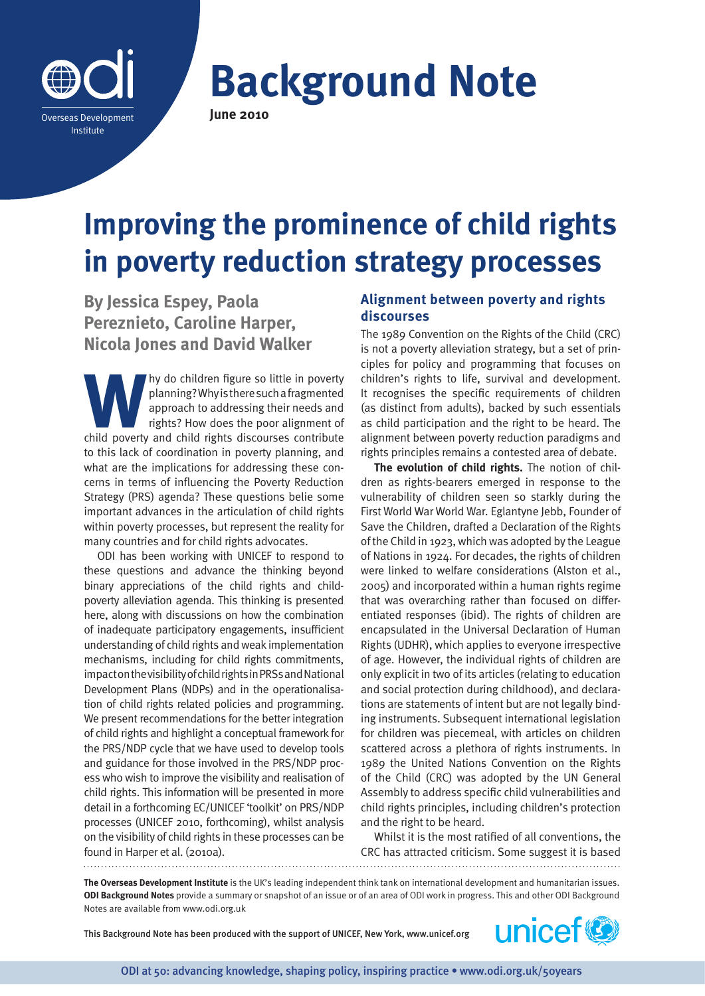

**Background Note June 2010**

# **Improving the prominence of child rights in poverty reduction strategy processes**

**By Jessica Espey, Paola Pereznieto, Caroline Harper, Nicola Jones and David Walker**

**Why do children figure so little in poverty planning? Why is there such a fragmented approach to addressing their needs and rights? How does the poor alignment of child poverty and child rights discourses contribute** planning? Why is there such a fragmented approach to addressing their needs and rights? How does the poor alignment of to this lack of coordination in poverty planning, and what are the implications for addressing these concerns in terms of influencing the Poverty Reduction Strategy (PRS) agenda? These questions belie some important advances in the articulation of child rights within poverty processes, but represent the reality for many countries and for child rights advocates.

ODI has been working with UNICEF to respond to these questions and advance the thinking beyond binary appreciations of the child rights and childpoverty alleviation agenda. This thinking is presented here, along with discussions on how the combination of inadequate participatory engagements, insufficient understanding of child rights and weak implementation mechanisms, including for child rights commitments, impact on the visibility of child rights in PRSs and National Development Plans (NDPs) and in the operationalisation of child rights related policies and programming. We present recommendations for the better integration of child rights and highlight a conceptual framework for the PRS/NDP cycle that we have used to develop tools and guidance for those involved in the PRS/NDP process who wish to improve the visibility and realisation of child rights. This information will be presented in more detail in a forthcoming EC/UNICEF 'toolkit' on PRS/NDP processes (UNICEF 2010, forthcoming), whilst analysis on the visibility of child rights in these processes can be found in Harper et al. (2010a).

## **Alignment between poverty and rights discourses**

The 1989 Convention on the Rights of the Child (CRC) is not a poverty alleviation strategy, but a set of principles for policy and programming that focuses on children's rights to life, survival and development. It recognises the specific requirements of children (as distinct from adults), backed by such essentials as child participation and the right to be heard. The alignment between poverty reduction paradigms and rights principles remains a contested area of debate.

**The evolution of child rights.** The notion of children as rights-bearers emerged in response to the vulnerability of children seen so starkly during the First World War World War. Eglantyne Jebb, Founder of Save the Children, drafted a Declaration of the Rights of the Child in 1923, which was adopted by the League of Nations in 1924. For decades, the rights of children were linked to welfare considerations (Alston et al., 2005) and incorporated within a human rights regime that was overarching rather than focused on differentiated responses (ibid). The rights of children are encapsulated in the Universal Declaration of Human Rights (UDHR), which applies to everyone irrespective of age. However, the individual rights of children are only explicit in two of its articles (relating to education and social protection during childhood), and declarations are statements of intent but are not legally binding instruments. Subsequent international legislation for children was piecemeal, with articles on children scattered across a plethora of rights instruments. In 1989 the United Nations Convention on the Rights of the Child (CRC) was adopted by the UN General Assembly to address specific child vulnerabilities and child rights principles, including children's protection and the right to be heard.

Whilst it is the most ratified of all conventions, the CRC has attracted criticism. Some suggest it is based 

**The Overseas Development Institute** is the UK's leading independent think tank on international development and humanitarian issues. **ODI Background Notes** provide a summary or snapshot of an issue or of an area of ODI work in progress. This and other ODI Background Notes are available from www.odi.org.uk

This Background Note has been produced with the support of UNICEF, New York, [www.unicef.org](www.unicef.org.uk)

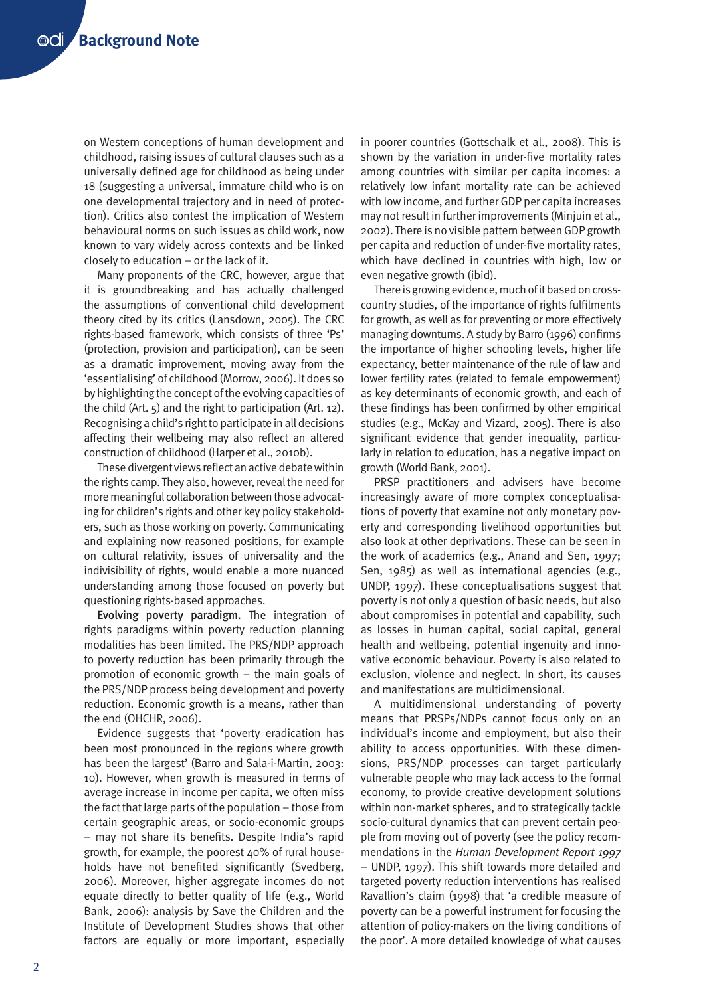on Western conceptions of human development and childhood, raising issues of cultural clauses such as a universally defined age for childhood as being under 18 (suggesting a universal, immature child who is on one developmental trajectory and in need of protection). Critics also contest the implication of Western behavioural norms on such issues as child work, now known to vary widely across contexts and be linked closely to education – or the lack of it.

Many proponents of the CRC, however, argue that it is groundbreaking and has actually challenged the assumptions of conventional child development theory cited by its critics (Lansdown, 2005). The CRC rights-based framework, which consists of three 'Ps' (protection, provision and participation), can be seen as a dramatic improvement, moving away from the 'essentialising' of childhood (Morrow, 2006). It does so by highlighting the concept of the evolving capacities of the child (Art. 5) and the right to participation (Art. 12). Recognising a child's right to participate in all decisions affecting their wellbeing may also reflect an altered construction of childhood (Harper et al., 2010b).

These divergent views reflect an active debate within the rights camp. They also, however, reveal the need for more meaningful collaboration between those advocating for children's rights and other key policy stakeholders, such as those working on poverty. Communicating and explaining now reasoned positions, for example on cultural relativity, issues of universality and the indivisibility of rights, would enable a more nuanced understanding among those focused on poverty but questioning rights-based approaches.

Evolving poverty paradigm. The integration of rights paradigms within poverty reduction planning modalities has been limited. The PRS/NDP approach to poverty reduction has been primarily through the promotion of economic growth – the main goals of the PRS/NDP process being development and poverty reduction. Economic growth is a means, rather than the end (OHCHR, 2006).

Evidence suggests that 'poverty eradication has been most pronounced in the regions where growth has been the largest' (Barro and Sala-i-Martin, 2003: 10). However, when growth is measured in terms of average increase in income per capita, we often miss the fact that large parts of the population – those from certain geographic areas, or socio-economic groups – may not share its benefits. Despite India's rapid growth, for example, the poorest 40% of rural households have not benefited significantly (Svedberg, 2006). Moreover, higher aggregate incomes do not equate directly to better quality of life (e.g., World Bank, 2006): analysis by Save the Children and the Institute of Development Studies shows that other factors are equally or more important, especially

in poorer countries (Gottschalk et al., 2008). This is shown by the variation in under-five mortality rates among countries with similar per capita incomes: a relatively low infant mortality rate can be achieved with low income, and further GDP per capita increases may not result in further improvements (Minjuin et al., 2002). There is no visible pattern between GDP growth per capita and reduction of under-five mortality rates, which have declined in countries with high, low or even negative growth (ibid).

There is growing evidence, much of it based on crosscountry studies, of the importance of rights fulfilments for growth, as well as for preventing or more effectively managing downturns. A study by Barro (1996) confirms the importance of higher schooling levels, higher life expectancy, better maintenance of the rule of law and lower fertility rates (related to female empowerment) as key determinants of economic growth, and each of these findings has been confirmed by other empirical studies (e.g., McKay and Vizard, 2005). There is also significant evidence that gender inequality, particularly in relation to education, has a negative impact on growth (World Bank, 2001).

PRSP practitioners and advisers have become increasingly aware of more complex conceptualisations of poverty that examine not only monetary poverty and corresponding livelihood opportunities but also look at other deprivations. These can be seen in the work of academics (e.g., Anand and Sen, 1997; Sen, 1985) as well as international agencies (e.g., UNDP, 1997). These conceptualisations suggest that poverty is not only a question of basic needs, but also about compromises in potential and capability, such as losses in human capital, social capital, general health and wellbeing, potential ingenuity and innovative economic behaviour. Poverty is also related to exclusion, violence and neglect. In short, its causes and manifestations are multidimensional.

A multidimensional understanding of poverty means that PRSPs/NDPs cannot focus only on an individual's income and employment, but also their ability to access opportunities. With these dimensions, PRS/NDP processes can target particularly vulnerable people who may lack access to the formal economy, to provide creative development solutions within non-market spheres, and to strategically tackle socio-cultural dynamics that can prevent certain people from moving out of poverty (see the policy recommendations in the *Human Development Report 1997* – UNDP, 1997). This shift towards more detailed and targeted poverty reduction interventions has realised Ravallion's claim (1998) that 'a credible measure of poverty can be a powerful instrument for focusing the attention of policy-makers on the living conditions of the poor'. A more detailed knowledge of what causes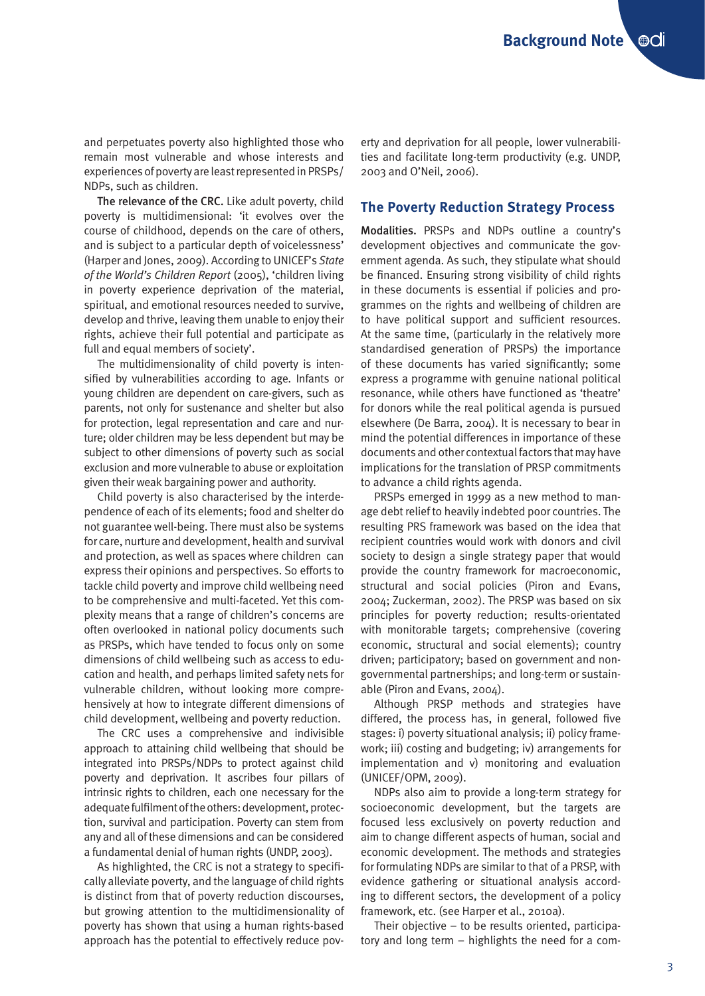and perpetuates poverty also highlighted those who remain most vulnerable and whose interests and experiences of poverty are least represented in PRSPs/ NDPs, such as children.

The relevance of the CRC. Like adult poverty, child poverty is multidimensional: 'it evolves over the course of childhood, depends on the care of others, and is subject to a particular depth of voicelessness' (Harper and Jones, 2009). According to UNICEF's *State of the World's Children Report* (2005), 'children living in poverty experience deprivation of the material, spiritual, and emotional resources needed to survive, develop and thrive, leaving them unable to enjoy their rights, achieve their full potential and participate as full and equal members of society'.

The multidimensionality of child poverty is intensified by vulnerabilities according to age. Infants or young children are dependent on care-givers, such as parents, not only for sustenance and shelter but also for protection, legal representation and care and nurture; older children may be less dependent but may be subject to other dimensions of poverty such as social exclusion and more vulnerable to abuse or exploitation given their weak bargaining power and authority.

Child poverty is also characterised by the interdependence of each of its elements; food and shelter do not guarantee well-being. There must also be systems for care, nurture and development, health and survival and protection, as well as spaces where children can express their opinions and perspectives. So efforts to tackle child poverty and improve child wellbeing need to be comprehensive and multi-faceted. Yet this complexity means that a range of children's concerns are often overlooked in national policy documents such as PRSPs, which have tended to focus only on some dimensions of child wellbeing such as access to education and health, and perhaps limited safety nets for vulnerable children, without looking more comprehensively at how to integrate different dimensions of child development, wellbeing and poverty reduction.

The CRC uses a comprehensive and indivisible approach to attaining child wellbeing that should be integrated into PRSPs/NDPs to protect against child poverty and deprivation. It ascribes four pillars of intrinsic rights to children, each one necessary for the adequate fulfilment of the others: development, protection, survival and participation. Poverty can stem from any and all of these dimensions and can be considered a fundamental denial of human rights (UNDP, 2003).

As highlighted, the CRC is not a strategy to specifically alleviate poverty, and the language of child rights is distinct from that of poverty reduction discourses, but growing attention to the multidimensionality of poverty has shown that using a human rights-based approach has the potential to effectively reduce poverty and deprivation for all people, lower vulnerabilities and facilitate long-term productivity (e.g. UNDP, 2003 and O'Neil, 2006).

#### **The Poverty Reduction Strategy Process**

Modalities. PRSPs and NDPs outline a country's development objectives and communicate the government agenda. As such, they stipulate what should be financed. Ensuring strong visibility of child rights in these documents is essential if policies and programmes on the rights and wellbeing of children are to have political support and sufficient resources. At the same time, (particularly in the relatively more standardised generation of PRSPs) the importance of these documents has varied significantly; some express a programme with genuine national political resonance, while others have functioned as 'theatre' for donors while the real political agenda is pursued elsewhere (De Barra, 2004). It is necessary to bear in mind the potential differences in importance of these documents and other contextual factors that may have implications for the translation of PRSP commitments to advance a child rights agenda.

PRSPs emerged in 1999 as a new method to manage debt relief to heavily indebted poor countries. The resulting PRS framework was based on the idea that recipient countries would work with donors and civil society to design a single strategy paper that would provide the country framework for macroeconomic, structural and social policies (Piron and Evans, 2004; Zuckerman, 2002). The PRSP was based on six principles for poverty reduction; results-orientated with monitorable targets; comprehensive (covering economic, structural and social elements); country driven; participatory; based on government and nongovernmental partnerships; and long-term or sustainable (Piron and Evans, 2004).

Although PRSP methods and strategies have differed, the process has, in general, followed five stages: i) poverty situational analysis; ii) policy framework; iii) costing and budgeting; iv) arrangements for implementation and v) monitoring and evaluation (UNICEF/OPM, 2009).

NDPs also aim to provide a long-term strategy for socioeconomic development, but the targets are focused less exclusively on poverty reduction and aim to change different aspects of human, social and economic development. The methods and strategies for formulating NDPs are similar to that of a PRSP, with evidence gathering or situational analysis according to different sectors, the development of a policy framework, etc. (see Harper et al., 2010a).

Their objective – to be results oriented, participatory and long term – highlights the need for a com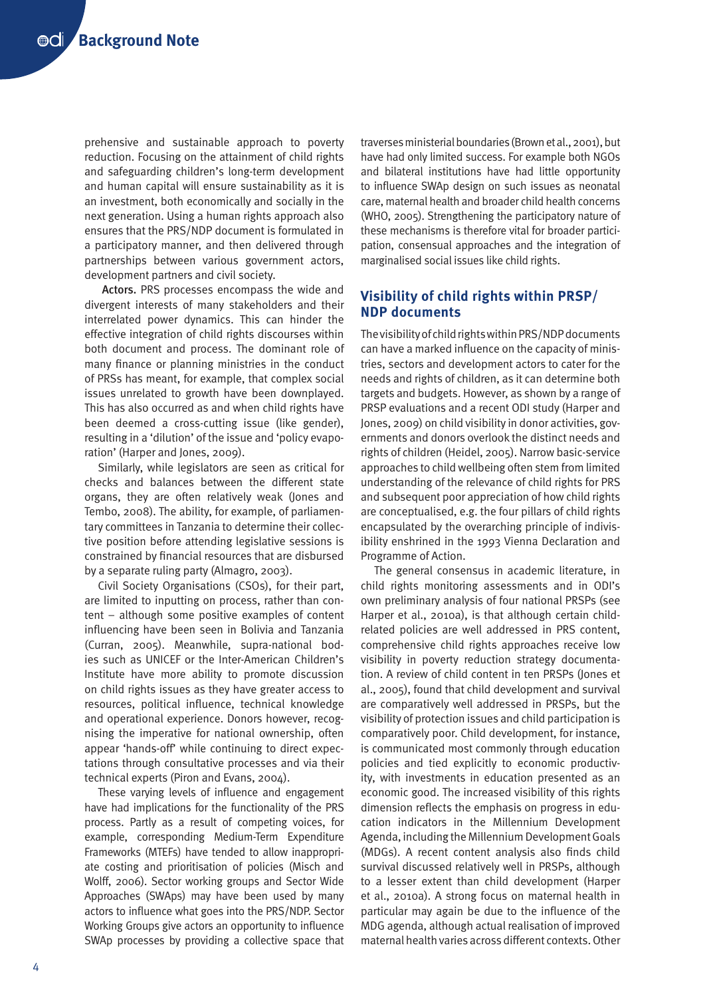prehensive and sustainable approach to poverty reduction. Focusing on the attainment of child rights and safeguarding children's long-term development and human capital will ensure sustainability as it is an investment, both economically and socially in the next generation. Using a human rights approach also ensures that the PRS/NDP document is formulated in a participatory manner, and then delivered through partnerships between various government actors, development partners and civil society.

Actors. PRS processes encompass the wide and divergent interests of many stakeholders and their interrelated power dynamics. This can hinder the effective integration of child rights discourses within both document and process. The dominant role of many finance or planning ministries in the conduct of PRSs has meant, for example, that complex social issues unrelated to growth have been downplayed. This has also occurred as and when child rights have been deemed a cross-cutting issue (like gender), resulting in a 'dilution' of the issue and 'policy evaporation' (Harper and Jones, 2009).

Similarly, while legislators are seen as critical for checks and balances between the different state organs, they are often relatively weak (Jones and Tembo, 2008). The ability, for example, of parliamentary committees in Tanzania to determine their collective position before attending legislative sessions is constrained by financial resources that are disbursed by a separate ruling party (Almagro, 2003).

Civil Society Organisations (CSOs), for their part, are limited to inputting on process, rather than content – although some positive examples of content influencing have been seen in Bolivia and Tanzania (Curran, 2005). Meanwhile, supra-national bodies such as UNICEF or the Inter-American Children's Institute have more ability to promote discussion on child rights issues as they have greater access to resources, political influence, technical knowledge and operational experience. Donors however, recognising the imperative for national ownership, often appear 'hands-off' while continuing to direct expectations through consultative processes and via their technical experts (Piron and Evans, 2004).

These varying levels of influence and engagement have had implications for the functionality of the PRS process. Partly as a result of competing voices, for example, corresponding Medium-Term Expenditure Frameworks (MTEFs) have tended to allow inappropriate costing and prioritisation of policies (Misch and Wolff, 2006). Sector working groups and Sector Wide Approaches (SWAps) may have been used by many actors to influence what goes into the PRS/NDP. Sector Working Groups give actors an opportunity to influence SWAp processes by providing a collective space that traverses ministerial boundaries (Brown et al., 2001), but have had only limited success. For example both NGOs and bilateral institutions have had little opportunity to influence SWAp design on such issues as neonatal care, maternal health and broader child health concerns (WHO, 2005). Strengthening the participatory nature of these mechanisms is therefore vital for broader participation, consensual approaches and the integration of marginalised social issues like child rights.

## **Visibility of child rights within PRSP/ NDP documents**

The visibility of child rights within PRS/NDP documents can have a marked influence on the capacity of ministries, sectors and development actors to cater for the needs and rights of children, as it can determine both targets and budgets. However, as shown by a range of PRSP evaluations and a recent ODI study (Harper and Jones, 2009) on child visibility in donor activities, governments and donors overlook the distinct needs and rights of children (Heidel, 2005). Narrow basic-service approaches to child wellbeing often stem from limited understanding of the relevance of child rights for PRS and subsequent poor appreciation of how child rights are conceptualised, e.g. the four pillars of child rights encapsulated by the overarching principle of indivisibility enshrined in the 1993 Vienna Declaration and Programme of Action.

The general consensus in academic literature, in child rights monitoring assessments and in ODI's own preliminary analysis of four national PRSPs (see Harper et al., 2010a), is that although certain childrelated policies are well addressed in PRS content, comprehensive child rights approaches receive low visibility in poverty reduction strategy documentation. A review of child content in ten PRSPs (Jones et al., 2005), found that child development and survival are comparatively well addressed in PRSPs, but the visibility of protection issues and child participation is comparatively poor. Child development, for instance, is communicated most commonly through education policies and tied explicitly to economic productivity, with investments in education presented as an economic good. The increased visibility of this rights dimension reflects the emphasis on progress in education indicators in the Millennium Development Agenda, including the Millennium Development Goals (MDGs). A recent content analysis also finds child survival discussed relatively well in PRSPs, although to a lesser extent than child development (Harper et al., 2010a). A strong focus on maternal health in particular may again be due to the influence of the MDG agenda, although actual realisation of improved maternal health varies across different contexts. Other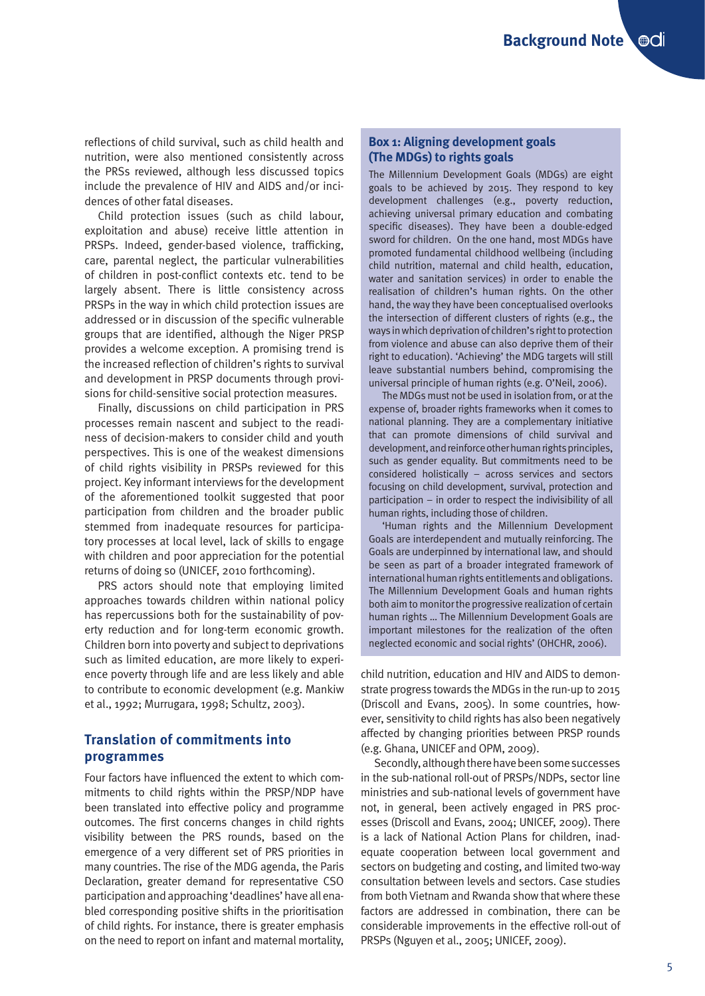reflections of child survival, such as child health and nutrition, were also mentioned consistently across the PRSs reviewed, although less discussed topics include the prevalence of HIV and AIDS and/or incidences of other fatal diseases.

Child protection issues (such as child labour, exploitation and abuse) receive little attention in PRSPs. Indeed, gender-based violence, trafficking, care, parental neglect, the particular vulnerabilities of children in post-conflict contexts etc. tend to be largely absent. There is little consistency across PRSPs in the way in which child protection issues are addressed or in discussion of the specific vulnerable groups that are identified, although the Niger PRSP provides a welcome exception. A promising trend is the increased reflection of children's rights to survival and development in PRSP documents through provisions for child-sensitive social protection measures.

Finally, discussions on child participation in PRS processes remain nascent and subject to the readiness of decision-makers to consider child and youth perspectives. This is one of the weakest dimensions of child rights visibility in PRSPs reviewed for this project. Key informant interviews for the development of the aforementioned toolkit suggested that poor participation from children and the broader public stemmed from inadequate resources for participatory processes at local level, lack of skills to engage with children and poor appreciation for the potential returns of doing so (UNICEF, 2010 forthcoming).

PRS actors should note that employing limited approaches towards children within national policy has repercussions both for the sustainability of poverty reduction and for long-term economic growth. Children born into poverty and subject to deprivations such as limited education, are more likely to experience poverty through life and are less likely and able to contribute to economic development (e.g. Mankiw et al., 1992; Murrugara, 1998; Schultz, 2003).

## **Translation of commitments into programmes**

Four factors have influenced the extent to which commitments to child rights within the PRSP/NDP have been translated into effective policy and programme outcomes. The first concerns changes in child rights visibility between the PRS rounds, based on the emergence of a very different set of PRS priorities in many countries. The rise of the MDG agenda, the Paris Declaration, greater demand for representative CSO participation and approaching 'deadlines' have all enabled corresponding positive shifts in the prioritisation of child rights. For instance, there is greater emphasis on the need to report on infant and maternal mortality,

#### **Box 1: Aligning development goals (The MDGs) to rights goals**

The Millennium Development Goals (MDGs) are eight goals to be achieved by 2015. They respond to key development challenges (e.g., poverty reduction, achieving universal primary education and combating specific diseases). They have been a double-edged sword for children. On the one hand, most MDGs have promoted fundamental childhood wellbeing (including child nutrition, maternal and child health, education, water and sanitation services) in order to enable the realisation of children's human rights. On the other hand, the way they have been conceptualised overlooks the intersection of different clusters of rights (e.g., the ways in which deprivation of children's right to protection from violence and abuse can also deprive them of their right to education). 'Achieving' the MDG targets will still leave substantial numbers behind, compromising the universal principle of human rights (e.g. O'Neil, 2006).

The MDGs must not be used in isolation from, or at the expense of, broader rights frameworks when it comes to national planning. They are a complementary initiative that can promote dimensions of child survival and development, and reinforce other human rights principles, such as gender equality. But commitments need to be considered holistically – across services and sectors focusing on child development, survival, protection and participation – in order to respect the indivisibility of all human rights, including those of children.

'Human rights and the Millennium Development Goals are interdependent and mutually reinforcing. The Goals are underpinned by international law, and should be seen as part of a broader integrated framework of international human rights entitlements and obligations. The Millennium Development Goals and human rights both aim to monitor the progressive realization of certain human rights … The Millennium Development Goals are important milestones for the realization of the often neglected economic and social rights' (OHCHR, 2006).

child nutrition, education and HIV and AIDS to demonstrate progress towards the MDGs in the run-up to 2015 (Driscoll and Evans, 2005). In some countries, however, sensitivity to child rights has also been negatively affected by changing priorities between PRSP rounds (e.g. Ghana, UNICEF and OPM, 2009).

Secondly, although there have been some successes in the sub-national roll-out of PRSPs/NDPs, sector line ministries and sub-national levels of government have not, in general, been actively engaged in PRS processes (Driscoll and Evans, 2004; UNICEF, 2009). There is a lack of National Action Plans for children, inadequate cooperation between local government and sectors on budgeting and costing, and limited two-way consultation between levels and sectors. Case studies from both Vietnam and Rwanda show that where these factors are addressed in combination, there can be considerable improvements in the effective roll-out of PRSPs (Nguyen et al., 2005; UNICEF, 2009).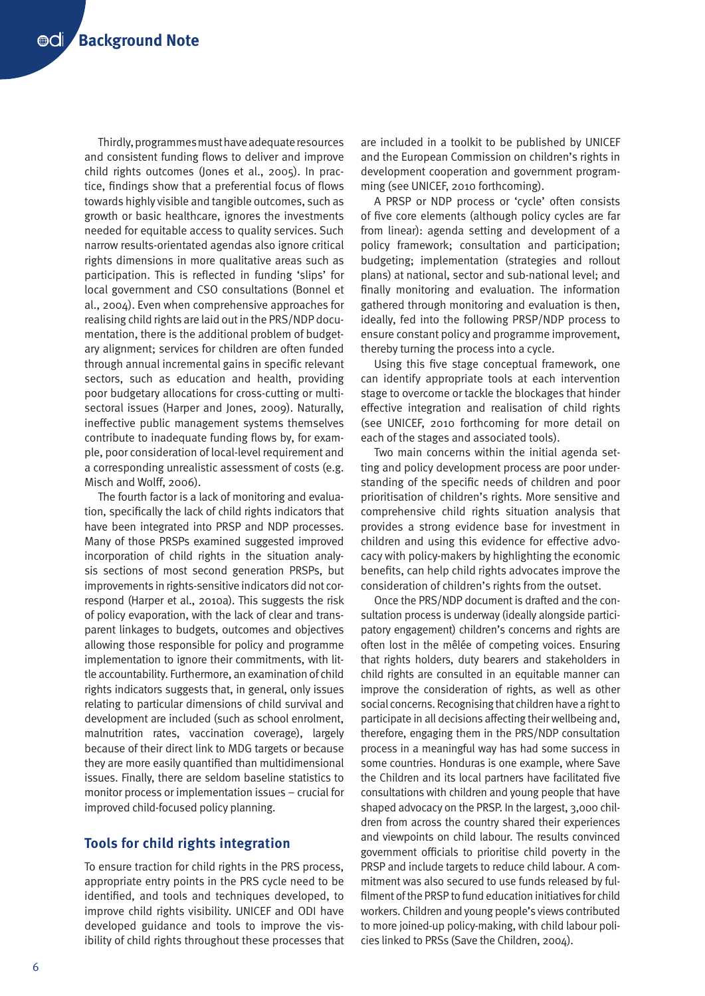Thirdly, programmes must have adequate resources and consistent funding flows to deliver and improve child rights outcomes (Jones et al., 2005). In practice, findings show that a preferential focus of flows towards highly visible and tangible outcomes, such as growth or basic healthcare, ignores the investments needed for equitable access to quality services. Such narrow results-orientated agendas also ignore critical rights dimensions in more qualitative areas such as participation. This is reflected in funding 'slips' for local government and CSO consultations (Bonnel et al., 2004). Even when comprehensive approaches for realising child rights are laid out in the PRS/NDP documentation, there is the additional problem of budgetary alignment; services for children are often funded through annual incremental gains in specific relevant sectors, such as education and health, providing poor budgetary allocations for cross-cutting or multisectoral issues (Harper and Jones, 2009). Naturally, ineffective public management systems themselves contribute to inadequate funding flows by, for example, poor consideration of local-level requirement and a corresponding unrealistic assessment of costs (e.g. Misch and Wolff, 2006).

The fourth factor is a lack of monitoring and evaluation, specifically the lack of child rights indicators that have been integrated into PRSP and NDP processes. Many of those PRSPs examined suggested improved incorporation of child rights in the situation analysis sections of most second generation PRSPs, but improvements in rights-sensitive indicators did not correspond (Harper et al., 2010a). This suggests the risk of policy evaporation, with the lack of clear and transparent linkages to budgets, outcomes and objectives allowing those responsible for policy and programme implementation to ignore their commitments, with little accountability. Furthermore, an examination of child rights indicators suggests that, in general, only issues relating to particular dimensions of child survival and development are included (such as school enrolment, malnutrition rates, vaccination coverage), largely because of their direct link to MDG targets or because they are more easily quantified than multidimensional issues. Finally, there are seldom baseline statistics to monitor process or implementation issues – crucial for improved child-focused policy planning.

### **Tools for child rights integration**

To ensure traction for child rights in the PRS process, appropriate entry points in the PRS cycle need to be identified, and tools and techniques developed, to improve child rights visibility. UNICEF and ODI have developed guidance and tools to improve the visibility of child rights throughout these processes that are included in a toolkit to be published by UNICEF and the European Commission on children's rights in development cooperation and government programming (see UNICEF, 2010 forthcoming).

A PRSP or NDP process or 'cycle' often consists of five core elements (although policy cycles are far from linear): agenda setting and development of a policy framework; consultation and participation; budgeting; implementation (strategies and rollout plans) at national, sector and sub-national level; and finally monitoring and evaluation. The information gathered through monitoring and evaluation is then, ideally, fed into the following PRSP/NDP process to ensure constant policy and programme improvement, thereby turning the process into a cycle.

Using this five stage conceptual framework, one can identify appropriate tools at each intervention stage to overcome or tackle the blockages that hinder effective integration and realisation of child rights (see UNICEF, 2010 forthcoming for more detail on each of the stages and associated tools).

Two main concerns within the initial agenda setting and policy development process are poor understanding of the specific needs of children and poor prioritisation of children's rights. More sensitive and comprehensive child rights situation analysis that provides a strong evidence base for investment in children and using this evidence for effective advocacy with policy-makers by highlighting the economic benefits, can help child rights advocates improve the consideration of children's rights from the outset.

Once the PRS/NDP document is drafted and the consultation process is underway (ideally alongside participatory engagement) children's concerns and rights are often lost in the mêlée of competing voices. Ensuring that rights holders, duty bearers and stakeholders in child rights are consulted in an equitable manner can improve the consideration of rights, as well as other social concerns. Recognising that children have a right to participate in all decisions affecting their wellbeing and, therefore, engaging them in the PRS/NDP consultation process in a meaningful way has had some success in some countries. Honduras is one example, where Save the Children and its local partners have facilitated five consultations with children and young people that have shaped advocacy on the PRSP. In the largest, 3,000 children from across the country shared their experiences and viewpoints on child labour. The results convinced government officials to prioritise child poverty in the PRSP and include targets to reduce child labour. A commitment was also secured to use funds released by fulfilment of the PRSP to fund education initiatives for child workers. Children and young people's views contributed to more joined-up policy-making, with child labour policies linked to PRSs (Save the Children, 2004).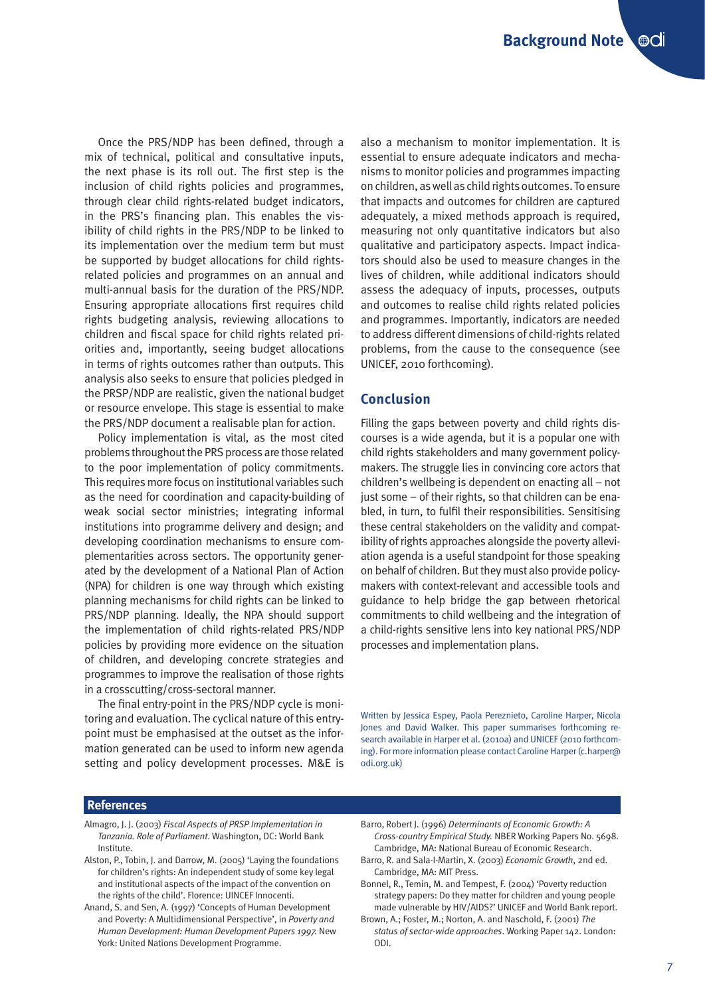Once the PRS/NDP has been defined, through a mix of technical, political and consultative inputs, the next phase is its roll out. The first step is the inclusion of child rights policies and programmes, through clear child rights-related budget indicators, in the PRS's financing plan. This enables the visibility of child rights in the PRS/NDP to be linked to its implementation over the medium term but must be supported by budget allocations for child rightsrelated policies and programmes on an annual and multi-annual basis for the duration of the PRS/NDP. Ensuring appropriate allocations first requires child rights budgeting analysis, reviewing allocations to children and fiscal space for child rights related priorities and, importantly, seeing budget allocations in terms of rights outcomes rather than outputs. This analysis also seeks to ensure that policies pledged in the PRSP/NDP are realistic, given the national budget or resource envelope. This stage is essential to make the PRS/NDP document a realisable plan for action.

Policy implementation is vital, as the most cited problems throughout the PRS process are those related to the poor implementation of policy commitments. This requires more focus on institutional variables such as the need for coordination and capacity-building of weak social sector ministries; integrating informal institutions into programme delivery and design; and developing coordination mechanisms to ensure complementarities across sectors. The opportunity generated by the development of a National Plan of Action (NPA) for children is one way through which existing planning mechanisms for child rights can be linked to PRS/NDP planning. Ideally, the NPA should support the implementation of child rights-related PRS/NDP policies by providing more evidence on the situation of children, and developing concrete strategies and programmes to improve the realisation of those rights in a crosscutting/cross-sectoral manner.

The final entry-point in the PRS/NDP cycle is monitoring and evaluation. The cyclical nature of this entrypoint must be emphasised at the outset as the information generated can be used to inform new agenda setting and policy development processes. M&E is also a mechanism to monitor implementation. It is essential to ensure adequate indicators and mechanisms to monitor policies and programmes impacting on children, as well as child rights outcomes. To ensure that impacts and outcomes for children are captured adequately, a mixed methods approach is required, measuring not only quantitative indicators but also qualitative and participatory aspects. Impact indicators should also be used to measure changes in the lives of children, while additional indicators should assess the adequacy of inputs, processes, outputs and outcomes to realise child rights related policies and programmes. Importantly, indicators are needed to address different dimensions of child-rights related problems, from the cause to the consequence (see UNICEF, 2010 forthcoming).

#### **Conclusion**

Filling the gaps between poverty and child rights discourses is a wide agenda, but it is a popular one with child rights stakeholders and many government policymakers. The struggle lies in convincing core actors that children's wellbeing is dependent on enacting all – not just some – of their rights, so that children can be enabled, in turn, to fulfil their responsibilities. Sensitising these central stakeholders on the validity and compatibility of rights approaches alongside the poverty alleviation agenda is a useful standpoint for those speaking on behalf of children. But they must also provide policymakers with context-relevant and accessible tools and guidance to help bridge the gap between rhetorical commitments to child wellbeing and the integration of a child-rights sensitive lens into key national PRS/NDP processes and implementation plans.

Written by Jessica Espey, Paola Pereznieto, Caroline Harper, Nicola Jones and David Walker. This paper summarises forthcoming research available in Harper et al. (2010a) and UNICEF (2010 forthcoming). For more information please contact Caroline Harper (c.harper@ odi.org.uk)

#### **References**

- Almagro, J. J. (2003) *Fiscal Aspects of PRSP Implementation in Tanzania. Role of Parliament*. Washington, DC: World Bank Institute.
- Alston, P., Tobin, J. and Darrow, M. (2005) 'Laying the foundations for children's rights: An independent study of some key legal and institutional aspects of the impact of the convention on the rights of the child'. Florence: UINCEF Innocenti.
- Anand, S. and Sen, A. (1997) 'Concepts of Human Development and Poverty: A Multidimensional Perspective', in *Poverty and Human Development: Human Development Papers 1997.* New York: United Nations Development Programme.
- Barro, Robert J. (1996) *Determinants of Economic Growth: A Cross-country Empirical Study.* NBER Working Papers No. 5698. Cambridge, MA: National Bureau of Economic Research.
- Barro, R. and Sala-I-Martin, X. (2003) *Economic Growth*, 2nd ed. Cambridge, MA: MIT Press.
- Bonnel, R., Temin, M. and Tempest, F. (2004) 'Poverty reduction strategy papers: Do they matter for children and young people made vulnerable by HIV/AIDS?' UNICEF and World Bank report.
- Brown, A.; Foster, M.; Norton, A. and Naschold, F. (2001) *The status of sector-wide approaches*. Working Paper 142. London: ODI.